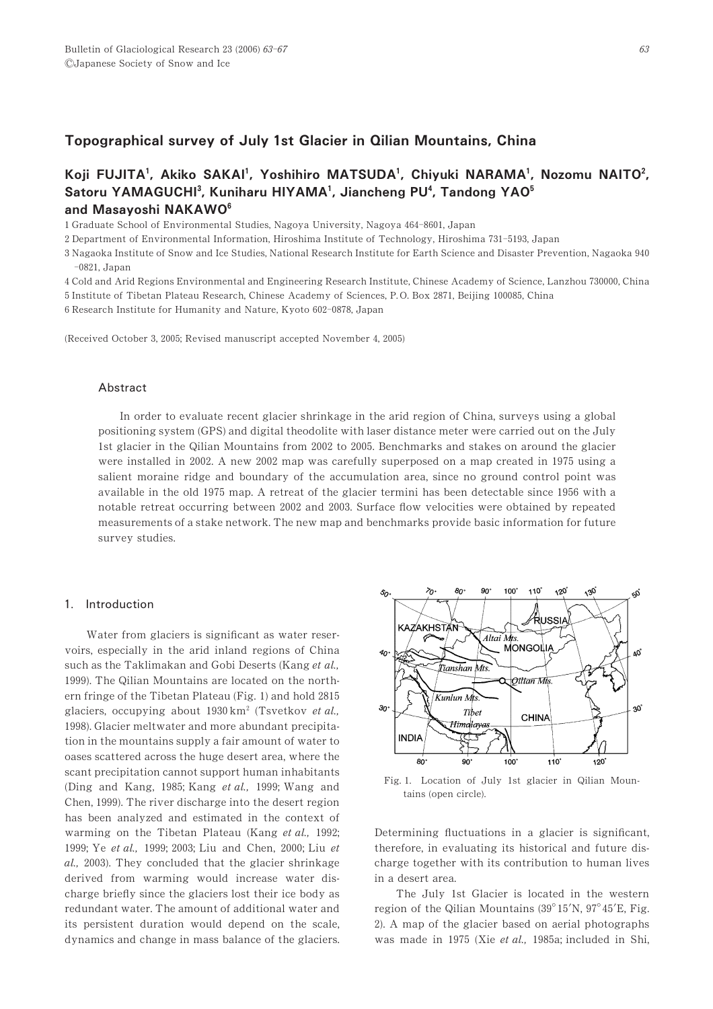# Topographical survey of July 1st Glacier in Qilian Mountains, China

# Koji FUJITA<sup>1</sup>, Akiko SAKAI<sup>1</sup>, Yoshihiro MATSUDA<sup>1</sup>, Chiyuki NARAMA<sup>1</sup>, Nozomu NAITO<sup>2</sup>, Satoru YAMAGUCHI<sup>3</sup>, Kuniharu HIYAMA<sup>1</sup>, Jiancheng PU<sup>4</sup>, Tandong YAO<sup>5</sup> and Masayoshi NAKAWO<sup>6</sup>

1 Graduate School of Environmental Studies, Nagoya University, Nagoya 464-8601, Japan

2 Department of Environmental Information, Hiroshima Institute of Technology, Hiroshima 731-5193, Japan

3 Nagaoka Institute of Snow and Ice Studies, National Research Institute for Earth Science and Disaster Prevention, Nagaoka 940  $-0821.$  Japan

4 Cold and Arid Regions Environmental and Engineering Research Institute, Chinese Academy of Science, Lanzhou 730000, China 5 Institute of Tibetan Plateau Research, Chinese Academy of Sciences, P.O. Box 2871, Beijing 100085, China

6 Research Institute for Humanity and Nature, Kyoto 602-0878, Japan

(Received October 3, 2005; Revised manuscript accepted November 4, 2005)

### Abstract

In order to evaluate recent glacier shrinkage in the arid region of China, surveys using a global positioning system (GPS) and digital theodolite with laser distance meter were carried out on the July 1st glacier in the Qilian Mountains from 2002 to 2005. Benchmarks and stakes on around the glacier were installed in 2002. A new 2002 map was carefully superposed on a map created in 1975 using a salient moraine ridge and boundary of the accumulation area, since no ground control point was available in the old 1975 map. A retreat of the glacier termini has been detectable since 1956 with a notable retreat occurring between 2002 and 2003. Surface flow velocities were obtained by repeated measurements of a stake network. The new map and benchmarks provide basic information for future survey studies.

#### 1. Introduction

Water from glaciers is significant as water reservoirs, especially in the arid inland regions of China such as the Taklimakan and Gobi Deserts (Kang et al., 1999). The Qilian Mountains are located on the northern fringe of the Tibetan Plateau (Fig. 1) and hold 2815 glaciers, occupying about  $1930 \text{ km}^2$  (Tsvetkov et al., 1998). Glacier meltwater and more abundant precipitation in the mountains supply a fair amount of water to oases scattered across the huge desert area, where the scant precipitation cannot support human inhabitants (Ding and Kang, 1985; Kang *et al.*, 1999; Wang and Chen, 1999). The river discharge into the desert region has been analyzed and estimated in the context of warming on the Tibetan Plateau (Kang et al., 1992; 1999; Ye et al., 1999; 2003; Liu and Chen, 2000; Liu et  $al., 2003$ ). They concluded that the glacier shrinkage derived from warming would increase water discharge briefly since the glaciers lost their ice body as redundant water. The amount of additional water and its persistent duration would depend on the scale, dynamics and change in mass balance of the glaciers.



Fig. 1. Location of July 1st glacier in Qilian Mountains (open circle).

Determining fluctuations in a glacier is significant, therefore, in evaluating its historical and future discharge together with its contribution to human lives in a desert area.

The July 1st Glacier is located in the western region of the Qilian Mountains  $(39^{\circ}15^{\prime}N, 97^{\circ}45^{\prime}E,$  Fig. 2). A map of the glacier based on aerial photographs was made in 1975 (Xie et al., 1985a; included in Shi,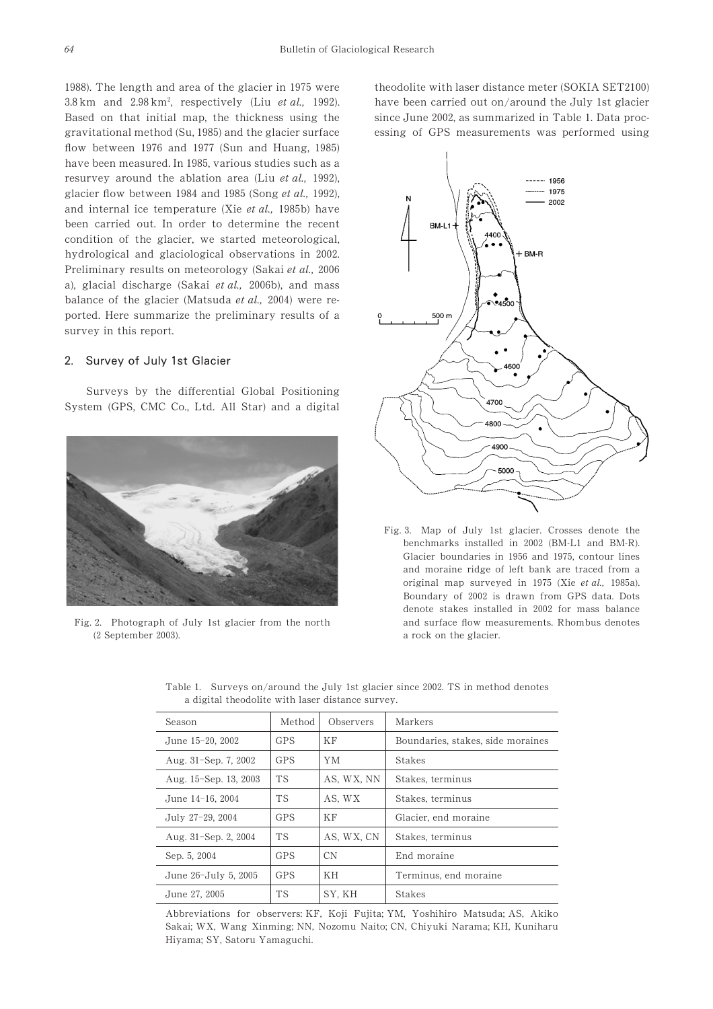1988). The length and area of the glacier in 1975 were  $3.8 \text{ km}$  and  $2.98 \text{ km}^2$ , respectively (Liu et al., 1992). Based on that initial map, the thickness using the gravitational method (Su, 1985) and the glacier surface flow between  $1976$  and  $1977$  (Sun and Huang,  $1985$ ) have been measured. In 1985, various studies such as a resurvey around the ablation area (Liu et al., 1992), glacier flow between  $1984$  and  $1985$  (Song et al., 1992), and internal ice temperature (Xie et al.,  $1985b$ ) have been carried out. In order to determine the recent condition of the glacier, we started meteorological, hydrological and glaciological observations in 2002. Preliminary results on meteorology (Sakai et al., 2006) a), glacial discharge (Sakai et al., 2006b), and mass balance of the glacier (Matsuda et al., 2004) were reported. Here summarize the preliminary results of a survey in this report.

## 2. Survey of July 1st Glacier

Surveys by the differential Global Positioning System (GPS, CMC Co., Ltd. All Star) and a digital



Fig. 2. Photograph of July 1st glacier from the north (2 September 2003).

theodolite with laser distance meter (SOKIA SET2100) have been carried out on/around the July 1st glacier since June 2002, as summarized in Table 1. Data processing of GPS measurements was performed using



Fig. 3. Map of July 1st glacier. Crosses denote the benchmarks installed in  $2002$  (BM-L1 and BM-R). Glacier boundaries in 1956 and 1975, contour lines and moraine ridge of left bank are traced from a original map surveyed in  $1975$  (Xie et al.,  $1985a$ ). Boundary of 2002 is drawn from GPS data. Dots denote stakes installed in 2002 for mass balance and surface flow measurements. Rhombus denotes a rock on the glacier.

| Season                | Method     | Observers  | Markers                           |
|-----------------------|------------|------------|-----------------------------------|
| June 15-20, 2002      | <b>GPS</b> | ΚF         | Boundaries, stakes, side moraines |
| Aug. 31-Sep. 7, 2002  | <b>GPS</b> | YМ         | <b>Stakes</b>                     |
| Aug. 15–Sep. 13, 2003 | <b>TS</b>  | AS, WX, NN | Stakes, terminus                  |
| June 14-16, 2004      | <b>TS</b>  | AS, WX     | Stakes, terminus                  |
| July 27-29, 2004      | <b>GPS</b> | ΚF         | Glacier, end moraine              |
| Aug. 31-Sep. 2, 2004  | <b>TS</b>  | AS, WX, CN | Stakes, terminus                  |
| Sep. 5, 2004          | GPS        | <b>CN</b>  | End moraine                       |
| June 26-July 5, 2005  | <b>GPS</b> | KН         | Terminus, end moraine             |
| June 27, 2005         | TS         | SY. KH     | Stakes                            |

Table 1. Surveys on/around the July 1st glacier since 2002. TS in method denotes a digital theodolite with laser distance survey.

Abbreviations for observers: KF, Koji Fujita; YM, Yoshihiro Matsuda; AS, Akiko Sakai; WX, Wang Xinming; NN, Nozomu Naito; CN, Chiyuki Narama; KH, Kuniharu Hiyama; SY, Satoru Yamaguchi.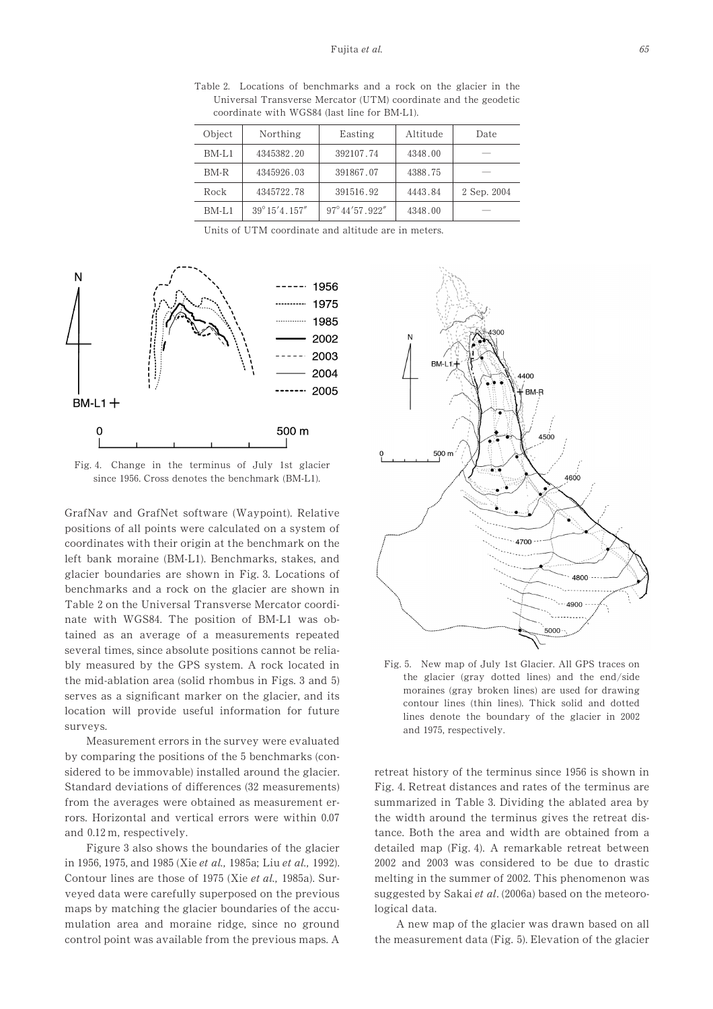Table 2. Locations of benchmarks and a rock on the glacier in the Universal Transverse Mercator (UTM) coordinate and the geodetic coordinate with WGS84 (last line for BM-L1).

| Object  | Northing               | Easting                     | Altitude | Date        |
|---------|------------------------|-----------------------------|----------|-------------|
| BM-L1   | 4345382.20             | 392107.74                   | 4348.00  |             |
| $BM-R$  | 4345926.03             | 391867.07                   | 4388.75  |             |
| Rock    | 4345722.78             | 391516.92                   | 4443.84  | 2 Sep. 2004 |
| $BM-L1$ | $39^{\circ}15'4.157''$ | $97^{\circ}$ 44'57 $.922''$ | 4348.00  |             |

Units of UTM coordinate and altitude are in meters.



Fig. 4. Change in the terminus of July 1st glacier since 1956. Cross denotes the benchmark (BM-L1).

GrafNav and GrafNet software (Waypoint). Relative positions of all points were calculated on a system of coordinates with their origin at the benchmark on the left bank moraine (BM-L1). Benchmarks, stakes, and glacier boundaries are shown in Fig. 3. Locations of benchmarks and a rock on the glacier are shown in Table 2 on the Universal Transverse Mercator coordinate with WGS84. The position of BM-L1 was obtained as an average of a measurements repeated several times, since absolute positions cannot be reliably measured by the GPS system. A rock located in the mid-ablation area (solid rhombus in Figs. 3 and 5) serves as a significant marker on the glacier, and its location will provide useful information for future surveys.

Measurement errors in the survey were evaluated by comparing the positions of the 5 benchmarks (considered to be immovable) installed around the glacier. Standard deviations of differences (32 measurements) from the averages were obtained as measurement errors. Horizontal and vertical errors were within 0.07 and  $0.12$  m, respectively.

Figure 3 also shows the boundaries of the glacier in 1956, 1975, and 1985 (Xie et al., 1985a; Liu et al., 1992). Contour lines are those of 1975 (Xie et al., 1985a). Surveyed data were carefully superposed on the previous maps by matching the glacier boundaries of the accumulation area and moraine ridge, since no ground control point was available from the previous maps. A



Fig. 5. New map of July 1st Glacier. All GPS traces on the glacier (gray dotted lines) and the end/side moraines (gray broken lines) are used for drawing contour lines (thin lines). Thick solid and dotted lines denote the boundary of the glacier in  $2002$ and 1975, respectively.

retreat history of the terminus since 1956 is shown in Fig. 4. Retreat distances and rates of the terminus are summarized in Table 3. Dividing the ablated area by the width around the terminus gives the retreat distance. Both the area and width are obtained from a detailed map (Fig. 4). A remarkable retreat between 2002 and 2003 was considered to be due to drastic melting in the summer of 2002. This phenomenon was suggested by Sakai et al. (2006a) based on the meteorological data.

A new map of the glacier was drawn based on all the measurement data (Fig. 5). Elevation of the glacier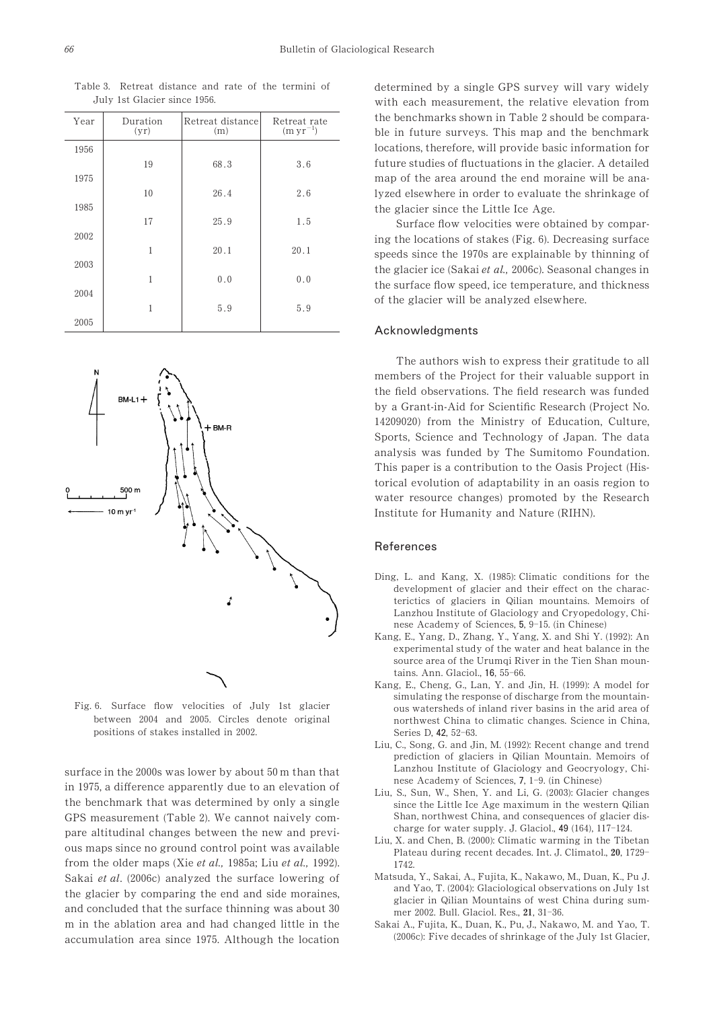| Year | Duration<br>(yr) | Retreat distance<br>(m) | Retreat rate<br>$(m yr^{-1})$ |
|------|------------------|-------------------------|-------------------------------|
| 1956 |                  |                         |                               |
|      | 19               | 68.3                    | 3.6                           |
| 1975 |                  |                         |                               |
|      | 10               | 26.4                    | 2.6                           |
| 1985 |                  |                         |                               |
| 2002 | 17               | 25.9                    | 1.5                           |
|      | 1                | 20.1                    | 20.1                          |
| 2003 |                  |                         |                               |
|      | 1                | 0.0                     | 0.0                           |
| 2004 |                  |                         |                               |
|      | 1                | 5.9                     | 5.9                           |
| 2005 |                  |                         |                               |



Fig. 6. Surface flow velocities of July 1st glacier between 2004 and 2005. Circles denote original positions of stakes installed in 2002.

surface in the 2000s was lower by about  $50 \text{ m}$  than that in 1975, a difference apparently due to an elevation of the benchmark that was determined by only a single GPS measurement (Table 2). We cannot naively compare altitudinal changes between the new and previous maps since no ground control point was available from the older maps (Xie et al.,  $1985a$ ; Liu et al., 1992). Sakai et al. (2006c) analyzed the surface lowering of the glacier by comparing the end and side moraines, and concluded that the surface thinning was about  $30$ m in the ablation area and had changed little in the accumulation area since 1975. Although the location

determined by a single GPS survey will vary widely with each measurement, the relative elevation from the benchmarks shown in Table 2 should be comparable in future surveys. This map and the benchmark locations, therefore, will provide basic information for future studies of fluctuations in the glacier. A detailed map of the area around the end moraine will be analyzed elsewhere in order to evaluate the shrinkage of the glacier since the Little Ice Age.

Surface flow velocities were obtained by comparing the locations of stakes (Fig. 0). Decreasing surface speeds since the 1970s are explainable by thinning of the glacier ice (Sakai et al., 2006c). Seasonal changes in the surface flow speed, ice temperature, and thickness of the glacier will be analyzed elsewhere.

#### Acknowledgments

The authors wish to express their gratitude to all members of the Project for their valuable support in the field observations. The field research was funded by a Grant-in-Aid for Scientific Research (Project No. 14209020) from the Ministry of Education, Culture, Sports, Science and Technology of Japan. The data analysis was funded by The Sumitomo Foundation. This paper is a contribution to the Oasis Project (Historical evolution of adaptability in an oasis region to water resource changes) promoted by the Research Institute for Humanity and Nature (RIHN).

#### References

- Ding, L. and Kang, X. (1985): Climatic conditions for the development of glacier and their effect on the characterictics of glaciers in Qilian mountains. Memoirs of Lanzhou Institute of Glaciology and Cryopedology, Chinese Academy of Sciences, 5, 9-15. (in Chinese)
- Kang, E., Yang, D., Zhang, Y., Yang, X. and Shi Y. (1992): An experimental study of the water and heat balance in the source area of the Urumqi River in the Tien Shan mountains. Ann. Glaciol., 16, 55-66.
- Kang, E., Cheng, G., Lan, Y. and Jin, H. (1999): A model for simulating the response of discharge from the mountainous watersheds of inland river basins in the arid area of northwest China to climatic changes. Science in China, Series D, 42, 52-63.
- Liu, C., Song, G. and Jin, M. (1992): Recent change and trend prediction of glaciers in Qilian Mountain. Memoirs of Lanzhou Institute of Glaciology and Geocryology, Chinese Academy of Sciences, 7, 1-9. (in Chinese)
- Liu, S., Sun, W., Shen, Y. and Li, G. (2003): Glacier changes since the Little Ice Age maximum in the western Qilian Shan, northwest China, and consequences of glacier discharge for water supply. J. Glaciol.,  $49(164)$ ,  $117-124$ .
- Liu, X. and Chen, B. (2000): Climatic warming in the Tibetan Plateau during recent decades. Int. J. Climatol., 20, 1729-1742
- Matsuda, Y., Sakai, A., Fujita, K., Nakawo, M., Duan, K., Pu J. and Yao, T. (2004): Glaciological observations on July 1st glacier in Qilian Mountains of west China during summer 2002. Bull. Glaciol. Res., 21, 31-36.
- Sakai A., Fujita, K., Duan, K., Pu, J., Nakawo, M. and Yao, T. (2006c): Five decades of shrinkage of the July 1st Glacier,

Table 3. Retreat distance and rate of the termini of July 1st Glacier since 1956.